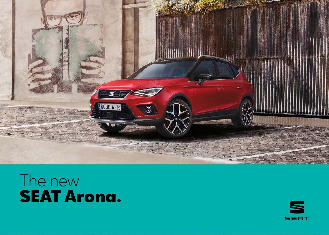

### The new SEAT Arona.

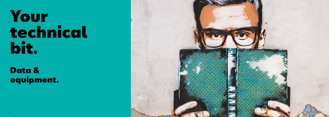# Your technical bit.

# Data & equipment.

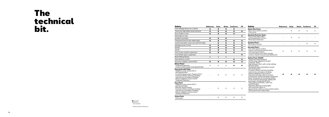### The technical bit.

Standard Optional − Not available

<sup>1</sup> Requires Radio in Reference.

Safety **Reference Style Beats Xcellence FR** Front airbags (dr

Three rear adjust Drum brakes in re Disk brakes in rec  $S$ eatbelt reminde Three point front 3-point seat belt Standard seats in Tool kit

Tyre fit Front & rear comf Front & Rear sport

Rear Parking Ser Park distance con

Electronic stabilit

| Safety                                                                                                                                                                                                                                                               | <b>Reference</b> | <b>Style</b> | <b>Beats</b> | <b>Xcellence</b> | <b>FR</b> |
|----------------------------------------------------------------------------------------------------------------------------------------------------------------------------------------------------------------------------------------------------------------------|------------------|--------------|--------------|------------------|-----------|
| Front airbags (driver & co-driver)                                                                                                                                                                                                                                   |                  |              |              |                  |           |
| Three rear adjustable head restraints                                                                                                                                                                                                                                |                  |              |              |                  |           |
| Drum brakes in rear                                                                                                                                                                                                                                                  |                  |              |              |                  |           |
| Disk brakes in rear                                                                                                                                                                                                                                                  |                  |              |              |                  | 0         |
| Seatbelt reminders                                                                                                                                                                                                                                                   |                  |              |              |                  |           |
| Three point front & rear safety belts                                                                                                                                                                                                                                |                  |              |              |                  |           |
| 3-point seat belts, outer rear with ECE label                                                                                                                                                                                                                        |                  |              |              |                  |           |
| Standard seats in front                                                                                                                                                                                                                                              |                  |              |              |                  |           |
| Tool kit                                                                                                                                                                                                                                                             |                  |              |              |                  |           |
| Tyre fit                                                                                                                                                                                                                                                             |                  |              |              |                  |           |
| Front & rear comfort suspension                                                                                                                                                                                                                                      |                  |              |              |                  |           |
| Front & Rear sport suspension                                                                                                                                                                                                                                        |                  |              |              |                  |           |
| Rear Parking Sensor                                                                                                                                                                                                                                                  | $\circ$          | $\circ$      | O            |                  |           |
| Park distance control                                                                                                                                                                                                                                                |                  |              |              |                  |           |
| Electronic stability control (ESC)                                                                                                                                                                                                                                   |                  |              |              |                  |           |
| <b>Driver Pack</b> <sup>1</sup> :<br><b>Tiredness Detection</b><br>Cruise Control system and speed limiter                                                                                                                                                           | $\circ$          | O            | O            |                  |           |
| <b>Easy pack with Safe:</b><br>Adaptive cruise control (ACC)<br>and speed limiter<br>Central locking system "Keyless Entry"<br>Forward collision warning including<br>autonomous emergency braking,<br>without adaptive cruise control<br><b>Tiredness Detection</b> |                  | O            | O            | O                | $\circ$   |
| Easy Pack:<br>Adaptive cruise control (ACC)<br>and speed limiter<br>Remote central locking<br>Forward collision warning including<br>autonomous emergency braking,<br>without adaptive cruise control<br>Tiredness Detection                                         |                  | $\circ$      | $\circ$      | O                | O         |
| <b>Vision Pack:</b><br>Park assist                                                                                                                                                                                                                                   |                  | O            | O            | O                | $\circ$   |

**Vision Pack:** Park assist

| <b>Safety</b>                                                                                                                                                                                                                                                                                                                                                                                                                                                                                                                                                                                                                                                                                                                                                        | <b>Reference</b> | <b>Style</b> | <b>Beats</b> | <b>Xcellence</b> | <b>FR</b> |
|----------------------------------------------------------------------------------------------------------------------------------------------------------------------------------------------------------------------------------------------------------------------------------------------------------------------------------------------------------------------------------------------------------------------------------------------------------------------------------------------------------------------------------------------------------------------------------------------------------------------------------------------------------------------------------------------------------------------------------------------------------------------|------------------|--------------|--------------|------------------|-----------|
| <b>Vision Plus Pack:</b><br>Rear view camera system<br>Park assist                                                                                                                                                                                                                                                                                                                                                                                                                                                                                                                                                                                                                                                                                                   |                  | $\circ$      | $\circ$      | $\circ$          | O         |
| <b>Sentinel Pack for Style:</b><br>Electrically adjustable<br>and heated door mirrors<br><b>Blind Spot Detection</b>                                                                                                                                                                                                                                                                                                                                                                                                                                                                                                                                                                                                                                                 |                  | O            | $\Omega$     |                  |           |
| <b>Sentinel Pack:</b><br>Blind spot monitor                                                                                                                                                                                                                                                                                                                                                                                                                                                                                                                                                                                                                                                                                                                          |                  |              |              | $\circ$          | $\circ$   |
| <b>Security Pack</b> <sup>1</sup> :<br>Anti-theft alarm system,<br>interior monitoring, backup horn,<br>and towing protection<br>Central locking with radio remote<br>control, interior controls and SAFELOCK                                                                                                                                                                                                                                                                                                                                                                                                                                                                                                                                                        | $\circ$          | O            | O            | O                | О         |
| Safety Pack: [EU28]<br>Three rear head restraints<br>Multifunction display/on-board<br>computer "Basic"<br>Side airbag in front, with curtain airbag<br>Hill start assist<br>Windshield wiper intermittent control<br>with photosensor<br>Forward collision warning including<br>autonomous emergency braking,<br>without adaptive cruise control<br>Seat belt reminder, electric contact<br>in the buckle, advanced safety equipment<br>Direct Tyre pressure monitoring system<br>Driver and front passenger airbag with<br>passenger airbag deactivation<br>Three points seat belts, outer rear<br>with ECE label<br>Separate daytime running lights<br>with automatic lights on<br>Speed limiter without cruise control system<br>Three points front safety belts |                  |              |              |                  |           |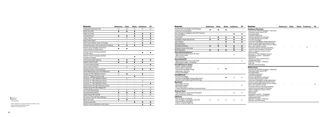| Exterior                                                         | <b>Reference</b> | <b>Style</b> | <b>Beats</b> | <b>Xcellence</b> | <b>FR</b> |
|------------------------------------------------------------------|------------------|--------------|--------------|------------------|-----------|
| <b>Transport Protection Film</b>                                 | O                | O            | O            | O                | O         |
| <b>Black roof rails</b>                                          |                  |              | ●            |                  |           |
| Bright roof rails                                                |                  |              |              |                  |           |
| Standard Roof                                                    |                  |              |              |                  |           |
| Colour Roof                                                      |                  | $\circ$      | O            |                  |           |
| <b>Body colour Roof</b>                                          |                  |              |              | O                | $\circ$   |
| Roof Colour Black, Grey or Orange                                |                  | O            | O            | ●                | ●         |
| Painted bumpers with protective moldings                         | ●                |              |              |                  |           |
| Exterior door handles and mirror<br>case in black or body colour |                  |              |              |                  |           |
| Exterior mirror housings painted<br>as roof colour               |                  |              |              |                  |           |
| Exterior mirror housings painted<br>in Eclipse Orange            |                  |              |              |                  |           |
| LED license plate lighting                                       | 0                |              |              |                  |           |
| Hidden exhaust pipe                                              |                  |              |              |                  |           |
| Chrome exhaust pipe                                              |                  |              |              |                  |           |
| Dark tinted windows                                              |                  | O            | O            |                  |           |
| Window frame in chromed look                                     |                  |              |              |                  |           |
| Steel Wheel Hub Cover 16" Reference                              |                  |              |              |                  |           |
| Design 16" 26/1 (Brilliant Silver)                               | O                | ٠            |              | ٠                |           |
| Urban 17" (Black R Machined)                                     |                  |              |              |                  |           |
| Dynamic 17" 26/1 (Brilliant Silver)                              |                  | O            |              |                  |           |
| Dynamic 17" 26/2 (Nuclear Grey)                                  |                  |              |              | O                |           |
| Dynamic 17" 26/3 (Brilliant Silver)                              | -                |              |              |                  |           |
| Performance 18" 26/1 (Nuclear Grey)                              | -                | -            |              | O                |           |
| Performance 18" 26/2 (Black R) <sup>2</sup>                      | $\equiv$         |              |              | $\equiv$         | O         |
| Anti Theft Wheel Bolts                                           | $\circ$          | O            | O            | O                | $\circ$   |
| <b>Standard Wheel Bolts</b>                                      | ٠                |              |              |                  |           |
| Spare wheel 16" and 18"                                          | O                | O            | O            | O                | O         |
| All season Tires 16" Alloy Wheels                                | O                | O            | O            | O                |           |
| <b>Black roof rails</b>                                          | e                |              |              |                  |           |
| Chrome roof rails                                                |                  |              |              |                  | 0         |
| Exterior mirror painted as roof colour                           |                  |              |              |                  |           |

#### **Exterior**

Double front head Daytime Running Twin halogen hec Running Lights

Window Frame in Rear fog lamp

**Street Pack Xce** 

**Full LED Pack fo** 

**Red Pack³** Disc brakes in fro Red brake calipers Red stripes belts 3-point seat belt

**Summer Pack** Side windows in and tinted rear v

**LED Pack** Interior ambient

Fog Lamps

Headlight range

LED tailights LED rear lamp Standard window

Standard Optional − Not available

<sup>2</sup> Not available for countries with bad condition roads.<br><sup>3</sup> Not compatible with CNG engines.<br><sup>4</sup> Without cornering function.

| <b>Exterior</b>                                                                                                                                                          | Reference                | <b>Style</b> |           | <b>Beats Xcellence</b>   | <b>FR</b>                | <b>Exterior</b>                                                                                                                                                                                                           | Reference | Style | <b>Beats Xcellence</b> | <b>FR</b> |
|--------------------------------------------------------------------------------------------------------------------------------------------------------------------------|--------------------------|--------------|-----------|--------------------------|--------------------------|---------------------------------------------------------------------------------------------------------------------------------------------------------------------------------------------------------------------------|-----------|-------|------------------------|-----------|
| Double front headlights with Halogen<br>Daytime Running Lights                                                                                                           |                          | $\bullet$    | $\bullet$ |                          | $\equiv$                 | <b>Xcellence Plus Pack:</b><br>Antenna for AM/FM reception, "diversity"                                                                                                                                                   |           |       |                        |           |
| Twin halogen headlights with LED Daytime<br>Running Lights                                                                                                               |                          |              |           | $\bullet$                | $\bullet$                | Standard radio (Gen2 GP)<br>6 loudspeakers<br><b>Tiredness Detection</b>                                                                                                                                                  |           |       |                        |           |
| Fog Lamps                                                                                                                                                                | $\circ$                  | $\bullet$    | $\bullet$ | $\bullet$                | $\bullet$                | Electric interface for external                                                                                                                                                                                           |           |       |                        |           |
| Headlight range adjustment                                                                                                                                               | $\bullet$                | $\bullet$    | $\bullet$ | $\bullet$                | $\bullet$                | use AUX-IN jack and 2×USB<br>Full LED Headlight                                                                                                                                                                           |           |       |                        |           |
| <b>LED</b> tailiahts                                                                                                                                                     | $\sim$                   | $\sim$       | $\bullet$ | $\bullet$                | $\bullet$                | Automatic headlight range adjustment                                                                                                                                                                                      |           |       |                        |           |
| LED rear lamp                                                                                                                                                            | $\overline{\phantom{a}}$ | $\circ$      | $\circ$   | $\overline{\phantom{a}}$ | $\overline{\phantom{a}}$ | dynamic (self adjusting while driving)<br>Front reading lights driver and co-driver                                                                                                                                       |           |       |                        |           |
| Standard windows                                                                                                                                                         | $\bullet$                | $\bullet$    | $\bullet$ | $\bullet$                | $\bullet$                | Rear view camera system                                                                                                                                                                                                   |           |       | $\circ$                |           |
| Window Frame in Alu look                                                                                                                                                 | $\overline{\phantom{a}}$ | $\sim$       | $\sim$    | $\bullet$                | $\bullet$                | Forward collision warning including                                                                                                                                                                                       |           |       |                        |           |
| Rear fog lamp                                                                                                                                                            | $\bullet$                | $\bullet$    | $\bullet$ | $\bullet$                | $\bullet$                | autonomous emergency braking.<br>without adaptive cruise control                                                                                                                                                          |           |       |                        |           |
| Street Pack Xcellence <sup>3</sup><br>Allov Wheel Performance 18" 26/1<br>SEAT Drive Profile<br><b>ECO</b> function                                                      |                          |              |           | $\circ$                  |                          | Voice control<br>Dynamic 17" 26/1 (Brilliant Silver)<br>Navigation system - Standard<br>Park assist                                                                                                                       |           |       |                        |           |
| Street Pack FR <sup>3</sup><br>Alloy Wheel Performance 18" 26/2<br>SEAT Drive Profile + Dual Ride                                                                        |                          |              |           |                          | $\circ$                  | Adaptive cruise control (ACC)<br>and speed limiter<br>Wireless Charger + Antenna<br>Hub cap                                                                                                                               |           |       |                        |           |
| Full LED Pack for Style <sup>4</sup><br>Interior ambient lighting<br>Interior light in footwell<br>Automatic headlight range<br>adjustment dynamic<br>Full LED Headlight |                          | $\circ$      |           |                          |                          | Remote central locking<br><b>FR Plus Pack:</b><br>Antenna for AM/FM reception, "diversity"<br>Standard radio (Gen2 GP)<br>6 loudspeakers                                                                                  |           |       |                        |           |
| Full LED Pack <sup>4</sup><br><b>Full LED Headlight</b><br>Automatic headlight range adjustment<br>dynamic (self-adjusting while driving)                                |                          |              |           | $\circ$                  | $\circ$                  | <b>Tiredness Detection</b><br><b>Full LED Headlight</b><br>Electric interface for external<br>use AUX-IN jack and 2xUSB<br>Automatic headlight range adjustment                                                           |           |       |                        |           |
| Red Pack <sup>3</sup><br>Disc brakes in front<br>Red brake calipers<br>Red stripes belts<br>3-point seat belt in Red front, rear and center                              |                          |              |           |                          | $\circ$                  | dynamic (self adjusting while driving)<br>Front reading lights driver and co-driver<br>Rear view camera system<br>Forward collision warning including<br>autonomous emergency braking.<br>without adaptive cruise control |           |       |                        | $\circ$   |
| <b>Summer Pack</b><br>Side windows in heat-insulating glass<br>and tinted rear windows                                                                                   |                          |              |           | $\circ$                  | $\circ$                  | Voice control<br>Park assist<br>Navigation system - Standard                                                                                                                                                              |           |       |                        |           |
| <b>LED Pack</b><br>Interior light in footwell<br>Twin halogen headlights with LED<br>Daytime Running Lights<br>Interior ambient lighting                                 | $\circ$                  | $\circ$      | $\circ$   | $\circ$                  | $\circ$                  | Adaptive cruise control (ACC)<br>and speed limiter<br>Wireless Charger + Antenna<br>Remote central locking                                                                                                                |           |       |                        |           |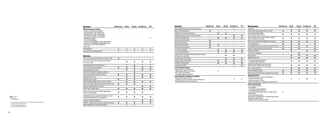| Exterior                                                                                                                                                                                                                                                                                                                                                          | <b>Reference</b> | <b>Style</b>             | Beats | Xcellence                | FR             |
|-------------------------------------------------------------------------------------------------------------------------------------------------------------------------------------------------------------------------------------------------------------------------------------------------------------------------------------------------------------------|------------------|--------------------------|-------|--------------------------|----------------|
| FR Performance Pack:<br>Space-saving spare wheel<br>for temporary use, radial tire<br>Sound system with subwoofer<br>SEAT Drive Profile + Dual Ride<br>Luggage compartment lining<br>Tool kit and jack<br><b>Full LED Headlight</b><br>Automatic headlight range adjustment<br>dynamic (self adjusting while driving)<br>Performance 18"26/2 [Black R]<br>Hub cap |                  |                          |       |                          | $\circ$        |
| Towing Bar <sup>5</sup>                                                                                                                                                                                                                                                                                                                                           | O                | O                        | O     | Ο                        | O              |
| Towing Device Preparation <sup>3</sup>                                                                                                                                                                                                                                                                                                                            | O                | $\circ$                  | O     | O                        | O              |
| Interior                                                                                                                                                                                                                                                                                                                                                          |                  |                          |       |                          |                |
| Sun visor with card holder on driver side                                                                                                                                                                                                                                                                                                                         |                  | $\overline{\phantom{0}}$ | ÷,    | $\overline{\phantom{0}}$ | $\blacksquare$ |
| Sun visor with mirror and card-holder<br>on driver side                                                                                                                                                                                                                                                                                                           |                  |                          |       |                          |                |
| Storage bag on front backrest                                                                                                                                                                                                                                                                                                                                     |                  | O                        |       | O                        | $\circ$        |
| Three rear head restraints                                                                                                                                                                                                                                                                                                                                        |                  |                          |       |                          |                |
| Split folding rear seats                                                                                                                                                                                                                                                                                                                                          |                  |                          |       | ▲                        |                |
| Seat trim covers for special editions                                                                                                                                                                                                                                                                                                                             |                  |                          | 0     |                          |                |
| Dimming interior rear view mirror                                                                                                                                                                                                                                                                                                                                 |                  |                          | Ω     |                          |                |
| Double floor boot                                                                                                                                                                                                                                                                                                                                                 |                  |                          |       |                          |                |
| Folding trunk cover                                                                                                                                                                                                                                                                                                                                               |                  |                          |       |                          |                |
| Front reading lights driver and co-driver                                                                                                                                                                                                                                                                                                                         |                  |                          |       | œ                        |                |
| Manual height adjustment for left front seat                                                                                                                                                                                                                                                                                                                      |                  | ●                        | ٠     |                          |                |
| Height-adjustable front seats                                                                                                                                                                                                                                                                                                                                     |                  |                          |       |                          |                |
| Plane rear cargo area                                                                                                                                                                                                                                                                                                                                             |                  |                          |       |                          |                |
| Power windows with comfort operation<br>and circuit breaker                                                                                                                                                                                                                                                                                                       |                  |                          |       |                          |                |
| Windshield wiper with intermittent control<br>and potentiometer (four speeds)                                                                                                                                                                                                                                                                                     |                  |                          |       |                          |                |
| Interior ambient lighting                                                                                                                                                                                                                                                                                                                                         |                  |                          |       |                          |                |
| ISOFIX + Top Tether Anchors in side rear seats                                                                                                                                                                                                                                                                                                                    |                  |                          |       |                          |                |
| Removable Seat Covers for Style                                                                                                                                                                                                                                                                                                                                   |                  | O                        | O     |                          |                |

#### $\mathbf{Interior}$

Removable Seat Basic steering wh Multifunction stee Leather multifund Front center armr Basic gearshift kn Basic hand brake Door panels in PV Standard dashbo Chrome package Comfort dashbod Interior light in for Leather gearshift Leather hand bra Leatherette PAD

### **Luxe Pack for Style<sup>s</sup>:**<br>Dinamica® comfort seats<br>Heigh adjustable front seats<br>PVC door trim panel<br>Storage bag on backrest

● Standard<br>O Optional<br>- Not available

<sup>s</sup> Includes Spare Wheel 18". Not compatible with CNG engines.<br><sup>6</sup> Requires Safety Pack EU28.<br><sup>7</sup> Serie for CNG in Reference.<br><sup>8</sup> Not available with AM Beats.

| Interior                                                                                                                                                     | Reference | <b>Style</b> | <b>Beats</b> | <b>Xcellence</b> | FR |
|--------------------------------------------------------------------------------------------------------------------------------------------------------------|-----------|--------------|--------------|------------------|----|
| Removable Seat Covers for Xcellence                                                                                                                          |           |              |              | O                |    |
| Basic steering wheel                                                                                                                                         |           |              |              |                  |    |
| Multifunction steering wheel                                                                                                                                 |           |              |              |                  |    |
| Leather multifunction steering wheel                                                                                                                         |           |              |              |                  |    |
| Front center armrest                                                                                                                                         |           |              |              |                  |    |
| Basic gearshift knob                                                                                                                                         |           |              |              |                  |    |
| Basic hand brake                                                                                                                                             |           |              |              |                  |    |
| Door panels in PVC                                                                                                                                           |           |              |              |                  |    |
| Standard dashboard                                                                                                                                           |           |              |              |                  |    |
| Chrome package                                                                                                                                               |           |              |              |                  |    |
| Comfort dashboard                                                                                                                                            |           |              |              |                  |    |
| Interior door and side trim panel with textile<br>and decor moulding                                                                                         |           |              |              |                  |    |
| Interior light in footwell                                                                                                                                   |           |              |              |                  |    |
| Leather gearshift knob                                                                                                                                       |           |              |              |                  |    |
| Leather hand brake                                                                                                                                           |           |              |              |                  |    |
| Leatherette PAD                                                                                                                                              |           |              |              | $\circ$          |    |
| Luxe Pack for Style <sup>6</sup> :<br>Dinamica <sup>®</sup> comfort seats<br>Heigh adjustable front seats<br>PVC door trim panel<br>Storage bag on backrest  |           | $\circ$      |              |                  |    |
| Luxe Pack for Xcellence and FR <sup>6</sup> :<br>Dinamica <sup>®</sup> sport seats<br>Leather door trim panel and dashboard<br>Storage bag on front backrest |           |              |              | O                | ∩  |

| <b>Electronics</b>                                                                                                                                                                                                                                                                                                         | <b>Reference</b> | <b>Style</b> | <b>Beats</b> | <b>Xcellence</b> | FR |
|----------------------------------------------------------------------------------------------------------------------------------------------------------------------------------------------------------------------------------------------------------------------------------------------------------------------------|------------------|--------------|--------------|------------------|----|
| <b>Full Link</b>                                                                                                                                                                                                                                                                                                           |                  | $\Omega$     | $\circ$      | O                | O  |
| Electrically adjustable door mirrors                                                                                                                                                                                                                                                                                       |                  |              |              |                  |    |
| Electrically adjustable<br>and heated door mirrors                                                                                                                                                                                                                                                                         |                  |              |              |                  |    |
| Rear window wiper and washer system<br>with intermitent control                                                                                                                                                                                                                                                            |                  |              |              |                  |    |
| Electronic vehicle immobilization device                                                                                                                                                                                                                                                                                   |                  |              |              |                  |    |
| Air conditioning                                                                                                                                                                                                                                                                                                           |                  |              |              |                  |    |
| 2 foldable keys with remote control function                                                                                                                                                                                                                                                                               | ●                |              |              | ●                | ●  |
| Power locking with remote control                                                                                                                                                                                                                                                                                          |                  |              |              |                  |    |
| 6 loud speakers                                                                                                                                                                                                                                                                                                            |                  |              |              | ●                | ≏  |
| 7 premium speakers                                                                                                                                                                                                                                                                                                         |                  |              |              |                  |    |
| Bluetooth <sup>®</sup>                                                                                                                                                                                                                                                                                                     |                  |              |              | ●                | ●  |
| Board computer                                                                                                                                                                                                                                                                                                             |                  |              |              |                  | ●  |
| Car stereo preinstallation<br>+ antitheft roof antenna                                                                                                                                                                                                                                                                     |                  |              |              |                  |    |
| Electric interface for external use.<br>AUX-IN jack, USB (iPod-capable)                                                                                                                                                                                                                                                    |                  |              |              |                  |    |
| Entry radio (Gen2) <sup>7</sup>                                                                                                                                                                                                                                                                                            |                  |              |              | 0                |    |
| Dust and pollen filter                                                                                                                                                                                                                                                                                                     |                  |              |              |                  |    |
| Manually controlled air conditioning system                                                                                                                                                                                                                                                                                | ●                |              |              |                  | ●  |
| <b>Storage Pack<sup>8</sup>:</b><br>Rack under driver seat and drawer<br>under co-driver seat<br>Center armest in front<br>Mounting fixture in luggage compartment                                                                                                                                                         |                  | O            | O            |                  | O  |
| <b>Cool and Sound:</b><br>Entry radio (Gen2)<br>4 speakers<br>Car stereo preinstallation<br>+ antitheft roof antenna<br>External, AUX-IN jack, USB, 1×USB socket<br>Bluetooth <sup>®</sup><br>Dust and pollen filter<br>Manually controlled air conditioning system<br>Board computer plus<br>Multifunction steering wheel | O                |              |              |                  |    |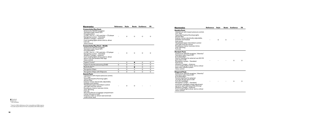| <b>Electronics</b>                                                                                                                                                                                                                                                                                                                                                                                                                                                                   | <b>Reference</b>         | <b>Style</b> | Beats   | <b>Xcellence</b> | <b>FR</b> |
|--------------------------------------------------------------------------------------------------------------------------------------------------------------------------------------------------------------------------------------------------------------------------------------------------------------------------------------------------------------------------------------------------------------------------------------------------------------------------------------|--------------------------|--------------|---------|------------------|-----------|
| <b>Connectivity Plus Pack:</b><br>Antenna for AM/FM reception<br>Standard radio [Gen2 GP]<br>6 loudspeakers<br>2×USB + Aux-in + 1 SD card slot + CD player<br>Navigation system - Standard<br>Wireless Charger + Antenna<br>Front reading lights driver and co-driver<br><b>Full Link</b><br>Voice control                                                                                                                                                                           |                          | $\circ$      | $\circ$ | $\circ$          | $\circ$   |
| <b>Connectivity Plus Pack + WLAN:</b><br>Antenna for AM/FM reception<br>Standard radio (Gen2 GP)<br>6 loudspeakers<br>2×USB + Aux-in + 1 SD card slot + CD player<br>Navigation system - Standard<br>Wireless Charger + Antenna<br>Front reading lights driver and co-driver<br>Mirror Link and wireless RSE App<br>Voice control                                                                                                                                                    |                          | $\circ$      | $\circ$ | $\circ$          | $\circ$   |
| Digital Cluster <sup>9</sup>                                                                                                                                                                                                                                                                                                                                                                                                                                                         | $\overline{\phantom{0}}$ | O            | ٠       | O                | $\circ$   |
| Digital Audio Broadcasting (DAB)                                                                                                                                                                                                                                                                                                                                                                                                                                                     | O                        | O            | O       | O                | $\circ$   |
| BeatsAudio <sup>™10</sup>                                                                                                                                                                                                                                                                                                                                                                                                                                                            | -                        | O            | ٠       | O                | $\circ$   |
| Navigation Maps                                                                                                                                                                                                                                                                                                                                                                                                                                                                      | O                        | O            | O       | O                | O         |
| Navigation Maps with Mapcare                                                                                                                                                                                                                                                                                                                                                                                                                                                         | $\circ$                  | $\circ$      | $\circ$ | O                | $\circ$   |
| Gracia Pack:<br>Climatronic with impact pressure control,<br>CFC-free<br>Separate Daytime Running Lights<br>Aircare filter<br>Exterior mirrors electrically adjustable,<br>foldable and heated<br>Windshield wiper intermittent control<br>with light and rain sensor<br>Breakaway interior rearview mirror,<br>auto-dimming<br><b>Full Link</b><br>Mounting fixture in luggage compartment<br>Center armrest in front<br>Drawers under co-driver seat and rack<br>under driver seat |                          | $\circ$      | $\circ$ |                  |           |

| <b>Electronics</b>                                                                                                                                                                                                                                                                                                                                                                                                           | <b>Reference</b> | Style   |         | <b>Beats Xcellence</b> | FR      |
|------------------------------------------------------------------------------------------------------------------------------------------------------------------------------------------------------------------------------------------------------------------------------------------------------------------------------------------------------------------------------------------------------------------------------|------------------|---------|---------|------------------------|---------|
| <b>Rambla Pack:</b><br>Climatronic with impact pressure control,<br>CFC-free<br>Separate Daytime Running Lights<br>Aircare filter<br>Exterior mirrors electrically adjustable,<br>foldable and heated<br>Park assist<br>Windshield wiper intermittent control<br>with light and rain sensor<br>Breakaway interior rearview mirror,<br>auto-dimming<br>Full Link                                                              |                  | $\circ$ | $\circ$ |                        |         |
| Montjuïc Pack:<br>Antenna for AM/FM reception, "diversity"<br>Standard radio (Gen2 GP)<br>6 loudspeakers<br>Electric interface for external use AUX-IN<br>jack and 2×USB<br>Navigation system - Standard<br>Park assist<br>Wireless Charger + Antenna<br>Front reading lights driver and co-driver<br>Rear view camera system<br>Voice control                                                                               |                  |         |         | $\circ$                | $\circ$ |
| Diagonal Pack:<br>Antenna for AM/FM reception, "diversity"<br>Standard radio (Gen2 GP)<br>6 loudspeakers<br>Electric interface for external<br>use AUX-IN jack and 2×USB<br><b>Full LED Headlight</b><br>Navigation system - Standard<br>Automatic headlight range adjustment<br>dynamic (self adjusting while driving)<br>Wireless Charger + Antenna<br>Front reading lights driver and co-driver<br>$\lambda$ oico control |                  |         |         | $\circ$                | $\circ$ |

Standard radio (Gen2 GP) 6 loudspeakers Electric interface for external use AUX-IN jack and 2×USB Full LED Headlight Navigation syste Front reading lig Voice control

### Standard Optional

− Not available

<sup>9</sup> Serie for CNG in Reference. Not compatible wit CNG engines.

<sup>10</sup> Includes Spare Wheel 18". Not compatible with CNG engines.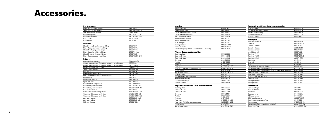#### Interior

| Rear sun shade         |
|------------------------|
| Espresso mach          |
| Thermal box ex         |
| Thermal box tr         |
| <b>Back seat theri</b> |
| Headrest base          |
| Hooks for heac         |
| Multi-hanger           |
| Storage pocke          |
| Seat belt pillov       |
| Sport Pack (Ba         |

### **Fitness Green**<br>Charmony cultural

| Steering whee   |
|-----------------|
| Gear knob 5 sp  |
| Gear knob 6 s   |
| Key cover       |
| Pedals          |
| Footrest        |
| Floor mats      |
| Floor mats (Rig |
| Inox side sills |
| Net between s   |
| Internal mirror |
| Electrochrome   |
| Hatch door me   |
| Fog light moul  |
| Exterior sticke |

#### **Sophisticate**

Steering wheel Gear knob 5 sp Gear knob 6 sp Key cover<br>Pedals Floor mats Inox side sills 6F9071691F Net between seats

| Rear sun shades                                   | 6F9064361      | Internal n             |
|---------------------------------------------------|----------------|------------------------|
| Espresso machine                                  | 000069641      | Electroch              |
| Thermal box extension cable                       | 000065201      | Hatch do               |
| Thermal box transformer                           | 000065202      | Fog light              |
| Back seat thermal box                             | 000065203      | <b>Exteriors</b>       |
| Headrest base carrier                             | 000061122      |                        |
| <b>Hooks for headrests</b>                        | 000061126B     | Transp                 |
| Multi-hanger                                      | 000061127D     | Inflatable             |
| Storage pocket                                    | 000061680B     | Surf rack              |
| Seat belt pillow                                  | 000069629B     | Ski rack -             |
| Sport Pack (Bag + Towel + Water Bottle + Key fob) | 000051763L     | Ski rack -             |
| <b>Fitness Green customisation</b>                |                | Ski rack »<br>Load-Sto |
| Steering wheel                                    | 6F9072390D     | Roof box               |
| Gear knob 5 sp                                    | 6F9064230D     | Roof box               |
| Gear knob 6 sp                                    | 6F9064230H     | Roof box               |
| Key cover                                         | 6F9087013D     | Roof bars              |
| Pedals                                            | 6F1064200D     | <b>Bike rack</b>       |
| Footrest                                          | 6F1071750D     | Tow bar                |
| Floor mats                                        | 6F1863011H LOE | Electric ki            |
| Floor mats (Right hand drive vehicles)            | 6F2863011H LOE | Electric ki            |
| Inox side sills                                   | 6F9071691D     | Electric ki            |
| Net between seats                                 | 6F9017221A S6S | Tow bar l              |
| Internal mirror                                   | 6F9072540D     | Kit 3rd bik            |
| Electrochromed internal mirror                    | 6F9072540H     | Extensior              |
| Hatch door moulding                               | 6F9071360H     | Tow bar l              |
| Fog light mouldings                               | 6F9071004D     | Towing bi              |
| <b>Exterior stickers</b>                          | 6F9071316D     | Towing sk              |
| Sophisticated Pearl Gold customisation            |                | <b>Protect</b>         |
| Steering wheel                                    | 6F9072390F     | Front mu               |
| Gear knob 5 sp                                    | 6F9064230F     | Rear muc               |
| Gear knob 6 sp                                    | 6F9064230K     | Tyre cove              |
| Key cover                                         | 6F9087013F     | <b>Black car</b>       |
| Pedals                                            | 6F1064200F     | White car              |
| Footrest                                          | 6F1071750F     | SEAT log               |
| Floor mats                                        | 6F1863011K LOE | Rear bum               |
| Floor mats (Right hand drive vehicles)            | 6F2863011K LOE | Rubber <sub>m</sub>    |
| Inox side sills                                   | 6F9071691F     | Rubber <sub>m</sub>    |

#### Performance Piano Black 18" alloy wheel 6F9071498<br>
Sport Black 18" alloy wheel 6F9071498D 1OV Sport Black 18" alloy wheel 6F9071498D<br>Anti-theft screws for rims 000071510A Anti-theft screws for rims 000071510A<br>Desire Red pedals 6F0064200 0X1 Desire Red pedals 6F0064200 0X1<br>Desire Red footrest 6F0071750A 0X1 Desire Red footrest 6F0071750A<br>Inox pedals 6F1064200 Inox pedals 6F1064200 Inox footrest Exterior Matt Chromed hatch door moulding<br>
Piano Black hatch door moulding<br>
6F9071360A Piano Black hatch door moulding<br>
Matt Silver fog light mouldings<br>
6F9071004 Matt Silver fog light mouldings<br>
Piano Black foa light mouldings<br>
6F9071004A Piano Black fog light mouldings<br>
Matt Silver side door mouldings 6F9071328 Matt Silver side door mouldings<br>
Piano Black side door mouldings<br>
6F9071328A 041 Piano Black side door mouldings Interior Additional interior mirror<br>Center console mats "Barcelona streets" - Set of 4 mats 6F0061169 Center console mats "Barcelona streets" - Set of 4 mats 6F0061169<br>Center console mats "Barcelona streets" - Set of 3 mats 6F0061169A Center console mats "Barcelona streets" - Set of 3 mats 6F0061169A<br>Protective seat cover for doas 000061609C Protective seat cover for dogs Spherical cup holder 1SL061129A<br>
Cup holder 1SL061129 Eup holder 15L061129<br>Black net between seats 6F0017221A Black net between seats 6F0017221A<br>Black net between seats (w/o armrest) 6F0017221C Black net between seats (w/o armrest) 6F0017221C<br>Foil side sills 6F9071310 Foil side sills 6F9071310 Illuminated side sills 6F9071691A Sport side sills 6F9071691B<br>Desire Red steering wheel 6F0072390 0X1 Desire Red steering wheel 6F0072390 0X1<br>Desire Red gear knob 5 sp 6F0064230 0X1 Desire Red gear knob 5 sp 6F0064230 0X1<br>Desire Red gear knob 6 sp 6F0064230A 0X1 Desire Red gear knob 6 sp<br>
Inox Silver side sills<br>
6F9071691 Inox Silver side sills<br>Crossover Silver steering wheel<br>Crossover Silver steering wheel<br> $\overline{575072390A}$   $\overline{276}$ Crossover Silver steering wheel 575072390A 276<br>Crossover Silver gear knob 5 sp Crossover Silver gear knob 5 sp 575064230 Z76<br>Crossover Silver gear knob 6 sp 575064230A Z76 Crossover Silver gear knob 6 sp 575064230A Z76<br>Arm rest - leather 6F0061123 XU2 Arm rest - leather 6F0061123 XU2<br>Arm rest - fabric 6F0061123 LI8 Arm rest - fabric 6F0061123 L<br>
Side sun shades 6F9064364 Side sun shades

| Sophisticated Pearl Gold customisation                            |                |
|-------------------------------------------------------------------|----------------|
| Internal mirror                                                   | 6F9072540F     |
| Electrochromed internal mirror                                    | 6F9072540K     |
| Hatch door moulding                                               | 6F9071360K     |
| Fog light mouldings                                               | 6F9071004F     |
| <b>Exterior stickers</b>                                          | 6F9071316F     |
| Transport                                                         |                |
| Inflatable surf rack                                              | 000071120B     |
| Surf rack                                                         | 000071120HA    |
| Ski rack - 4 pairs                                                | 000071129S     |
| Ski rack - 6 pairs                                                | 000071129T     |
| Ski rack xtender                                                  | 000071129R     |
| Load-Stop rack                                                    | 000071223      |
| Roof box - 400l                                                   | 000071200T     |
| Roof box - 420l                                                   | 000071200AB    |
| Roof box - 450l                                                   | 000071180A     |
| Roof bars                                                         | 6F9071151      |
| <b>Bike rack</b>                                                  | 5F9071128      |
| Tow bar                                                           | 6F9803881      |
| Electric kit with pre-installation                                | 6F0055204      |
| Electric kit without pre-installation                             | 6F1055204A     |
| Electric kit without pre-installation (Right hand drive vehicles) | 6F2055204A     |
| Tow bar bike rack for 2 bikes                                     | 000071128K     |
| Kit 3 <sup>rd</sup> bike extension                                | 000071128J     |
| Extension for third bicycle                                       | 000071128C     |
| Tow bar bike rack                                                 | 000071128H     |
| Towing bike rack                                                  | 000071128G     |
| Towing ski rack                                                   | 000071129L     |
| Protection                                                        |                |
| Front mud flaps                                                   | 6F9075111      |
| Rear mud flaps                                                    | 6F9075101      |
| Tyre cover                                                        | 000071770C     |
| Black car cover                                                   | 6F0061701A     |
| White car cover                                                   | 6F0061701      |
| SEAT logo key cover                                               | 000087013AF    |
| Rear bumper protective film                                       | 6F9071363      |
| <b>Rubber mats</b>                                                | 6F1061500 041  |
| Rubber mats (Right hand drive vehicles)                           | 6F2061500 041  |
| Textile mats Trail                                                | 6F9061675C 041 |

### Accessories.

| <b>Sophisticated Pearl Gold customisation</b> |  |  |  |  |  |  |  |
|-----------------------------------------------|--|--|--|--|--|--|--|
|-----------------------------------------------|--|--|--|--|--|--|--|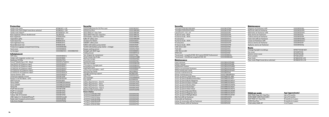| iSOFiX Peke base for G0 Plus seat<br>000019230C<br>6F1863011 LOE<br><b>Textile mats Serie</b><br>6F2863011 LOE<br><b>iSOFIX Duo Plus</b><br>000019909G<br>Textile mats Serie (Right hand drive vehicles)<br><b>SEAT PEKE G11-Size Trifix</b><br>000019909F<br>Textile mats Velpic®<br>6F1061675A 041<br>Boot organiser without double level<br>SEAT PEKE Peke GO I-Size Plus<br>1SL061205<br>000019907A<br>Boot organiser<br>575061205A<br>iSOFiX Baby-safe Plus SHR II<br>000019907B<br>Separation grille<br>6F9017221<br>000019906M<br>Kidfix XP safety seat<br>6F9061201A<br>CB alarm for klaxon<br>000054600<br>Foam boot tray<br>Semi rigid boot tray<br>6F9061201C<br>SAMART safety pack<br>000093996C<br>Reversible boot mat<br>6F9061201B<br>9,900 mAh battery jump starter<br>000051763F<br>000061609D<br>15,000 mAh battery jump starter + charger<br>000051763H<br>Protective luggage compartment lining<br>000061680A<br>000054752D<br>Seat cover<br>Beeper parking sensor<br>Ice Scraper<br>000096010C - 000096010D<br>Penlight with SEAT logo<br>000069690J<br>000069704A<br>Folding shovel<br><b>Infotainment</b><br>000071716A<br>Tyre-shaped air compressor<br><b>GPS Ultra</b><br>000051818CG<br>Smart tracker key finder<br>000087013BB<br>Holder with magnetic suction cup<br>000051991K<br>Warning triangle<br>000093056A<br>Nextbase 101 Elite<br>000054731A<br>Fluorescent vest<br>000093056J<br>Parrot <sup>®</sup> MiniKit Neo 2 HD - Black<br>000051473AE041<br>000093600B<br>Warning triangle<br>Start 62 EU 45 (Lifetime maps)<br>000051818CE<br>000093600C<br>2 Emergency triangle pack<br>GO 520 EU 45 (Lifetime maps)<br>000051818CJ<br>000093900SA<br>Fluorescent vest<br>GO 620 EU 45 (Lifetime maps)<br>000051818CK<br>Safety Pack (triangles + vest)<br>000093990<br>GO 5200 EU 45 (Lifetime maps)<br>000051818CL<br>3R0019900<br>Seat belt Top Tether<br>GO 6200 EU 45 [Lifetime maps]<br>000051818CM<br>6K0860265<br>Triangle fastening support<br>Twonay Anima+ GPS<br>000051818CH<br>Help Flash<br>000052122A<br>Universal magnetic mount<br>000061129F<br><b>LED</b> flashlight<br>000069690K<br>Navlet 7i Full Hd Tablet + GPS<br>000063500M<br>6L0093000<br>First-aid kit<br><b>SEAT Full Link</b><br>5F0054830<br>000084310B<br>Safety dog harness - Size XL<br><b>Tetrax XWAY</b><br>000096320GMAAA<br>000084310C<br>Safety dog harness - Size L<br><b>Tetrax SMART</b><br>000096320GMAAB<br>000084310D<br>Safety dog harness - Size M<br><b>Tetrax FIX</b><br>000096320GMAAC<br>000084310E<br>Safety Dog Harness - Size S<br>iPad <sup>®</sup> Mini bracket<br>000061125B<br>Kaza live alert smartwatch<br>000054635E<br>iPad <sup>®</sup> 2-4 bracket<br>000061125A<br><b>Snow chains:</b><br>iPad <sup>®</sup> Air bracket<br>000061125C<br>Autosock [205/60 R16]<br>000091301B<br>Galaxy Tab 3/4 bracket<br>000061125D<br>Autosock (205/55 R17)<br>000091301B<br>USB Cable 2 in 1 Android/iPhone®<br>000051444AK<br>Autosock (215/45 R18)<br>000091301B<br>000054635E<br>Radar alert & speed control watch<br>Turisport (205/60 R16)<br>000091375S<br>000051763Q<br>Inductive charger<br>Turisport (205/55 R17)<br>000091375S | Protection | <b>Security</b> |  |
|-------------------------------------------------------------------------------------------------------------------------------------------------------------------------------------------------------------------------------------------------------------------------------------------------------------------------------------------------------------------------------------------------------------------------------------------------------------------------------------------------------------------------------------------------------------------------------------------------------------------------------------------------------------------------------------------------------------------------------------------------------------------------------------------------------------------------------------------------------------------------------------------------------------------------------------------------------------------------------------------------------------------------------------------------------------------------------------------------------------------------------------------------------------------------------------------------------------------------------------------------------------------------------------------------------------------------------------------------------------------------------------------------------------------------------------------------------------------------------------------------------------------------------------------------------------------------------------------------------------------------------------------------------------------------------------------------------------------------------------------------------------------------------------------------------------------------------------------------------------------------------------------------------------------------------------------------------------------------------------------------------------------------------------------------------------------------------------------------------------------------------------------------------------------------------------------------------------------------------------------------------------------------------------------------------------------------------------------------------------------------------------------------------------------------------------------------------------------------------------------------------------------------------------------------------------------------------------------------------------------------------------------------------------------------------------------------------------------------------------------------------------------------------------------------------------------------------------------------------------------------------------------------------------------------------------------------------------------------------------------------------------------------------------------------------------------------------------------------------------------------------------------------------------------------------|------------|-----------------|--|
|                                                                                                                                                                                                                                                                                                                                                                                                                                                                                                                                                                                                                                                                                                                                                                                                                                                                                                                                                                                                                                                                                                                                                                                                                                                                                                                                                                                                                                                                                                                                                                                                                                                                                                                                                                                                                                                                                                                                                                                                                                                                                                                                                                                                                                                                                                                                                                                                                                                                                                                                                                                                                                                                                                                                                                                                                                                                                                                                                                                                                                                                                                                                                                               |            |                 |  |
|                                                                                                                                                                                                                                                                                                                                                                                                                                                                                                                                                                                                                                                                                                                                                                                                                                                                                                                                                                                                                                                                                                                                                                                                                                                                                                                                                                                                                                                                                                                                                                                                                                                                                                                                                                                                                                                                                                                                                                                                                                                                                                                                                                                                                                                                                                                                                                                                                                                                                                                                                                                                                                                                                                                                                                                                                                                                                                                                                                                                                                                                                                                                                                               |            |                 |  |
|                                                                                                                                                                                                                                                                                                                                                                                                                                                                                                                                                                                                                                                                                                                                                                                                                                                                                                                                                                                                                                                                                                                                                                                                                                                                                                                                                                                                                                                                                                                                                                                                                                                                                                                                                                                                                                                                                                                                                                                                                                                                                                                                                                                                                                                                                                                                                                                                                                                                                                                                                                                                                                                                                                                                                                                                                                                                                                                                                                                                                                                                                                                                                                               |            |                 |  |
|                                                                                                                                                                                                                                                                                                                                                                                                                                                                                                                                                                                                                                                                                                                                                                                                                                                                                                                                                                                                                                                                                                                                                                                                                                                                                                                                                                                                                                                                                                                                                                                                                                                                                                                                                                                                                                                                                                                                                                                                                                                                                                                                                                                                                                                                                                                                                                                                                                                                                                                                                                                                                                                                                                                                                                                                                                                                                                                                                                                                                                                                                                                                                                               |            |                 |  |
|                                                                                                                                                                                                                                                                                                                                                                                                                                                                                                                                                                                                                                                                                                                                                                                                                                                                                                                                                                                                                                                                                                                                                                                                                                                                                                                                                                                                                                                                                                                                                                                                                                                                                                                                                                                                                                                                                                                                                                                                                                                                                                                                                                                                                                                                                                                                                                                                                                                                                                                                                                                                                                                                                                                                                                                                                                                                                                                                                                                                                                                                                                                                                                               |            |                 |  |
|                                                                                                                                                                                                                                                                                                                                                                                                                                                                                                                                                                                                                                                                                                                                                                                                                                                                                                                                                                                                                                                                                                                                                                                                                                                                                                                                                                                                                                                                                                                                                                                                                                                                                                                                                                                                                                                                                                                                                                                                                                                                                                                                                                                                                                                                                                                                                                                                                                                                                                                                                                                                                                                                                                                                                                                                                                                                                                                                                                                                                                                                                                                                                                               |            |                 |  |
|                                                                                                                                                                                                                                                                                                                                                                                                                                                                                                                                                                                                                                                                                                                                                                                                                                                                                                                                                                                                                                                                                                                                                                                                                                                                                                                                                                                                                                                                                                                                                                                                                                                                                                                                                                                                                                                                                                                                                                                                                                                                                                                                                                                                                                                                                                                                                                                                                                                                                                                                                                                                                                                                                                                                                                                                                                                                                                                                                                                                                                                                                                                                                                               |            |                 |  |
|                                                                                                                                                                                                                                                                                                                                                                                                                                                                                                                                                                                                                                                                                                                                                                                                                                                                                                                                                                                                                                                                                                                                                                                                                                                                                                                                                                                                                                                                                                                                                                                                                                                                                                                                                                                                                                                                                                                                                                                                                                                                                                                                                                                                                                                                                                                                                                                                                                                                                                                                                                                                                                                                                                                                                                                                                                                                                                                                                                                                                                                                                                                                                                               |            |                 |  |
|                                                                                                                                                                                                                                                                                                                                                                                                                                                                                                                                                                                                                                                                                                                                                                                                                                                                                                                                                                                                                                                                                                                                                                                                                                                                                                                                                                                                                                                                                                                                                                                                                                                                                                                                                                                                                                                                                                                                                                                                                                                                                                                                                                                                                                                                                                                                                                                                                                                                                                                                                                                                                                                                                                                                                                                                                                                                                                                                                                                                                                                                                                                                                                               |            |                 |  |
|                                                                                                                                                                                                                                                                                                                                                                                                                                                                                                                                                                                                                                                                                                                                                                                                                                                                                                                                                                                                                                                                                                                                                                                                                                                                                                                                                                                                                                                                                                                                                                                                                                                                                                                                                                                                                                                                                                                                                                                                                                                                                                                                                                                                                                                                                                                                                                                                                                                                                                                                                                                                                                                                                                                                                                                                                                                                                                                                                                                                                                                                                                                                                                               |            |                 |  |
|                                                                                                                                                                                                                                                                                                                                                                                                                                                                                                                                                                                                                                                                                                                                                                                                                                                                                                                                                                                                                                                                                                                                                                                                                                                                                                                                                                                                                                                                                                                                                                                                                                                                                                                                                                                                                                                                                                                                                                                                                                                                                                                                                                                                                                                                                                                                                                                                                                                                                                                                                                                                                                                                                                                                                                                                                                                                                                                                                                                                                                                                                                                                                                               |            |                 |  |
|                                                                                                                                                                                                                                                                                                                                                                                                                                                                                                                                                                                                                                                                                                                                                                                                                                                                                                                                                                                                                                                                                                                                                                                                                                                                                                                                                                                                                                                                                                                                                                                                                                                                                                                                                                                                                                                                                                                                                                                                                                                                                                                                                                                                                                                                                                                                                                                                                                                                                                                                                                                                                                                                                                                                                                                                                                                                                                                                                                                                                                                                                                                                                                               |            |                 |  |
|                                                                                                                                                                                                                                                                                                                                                                                                                                                                                                                                                                                                                                                                                                                                                                                                                                                                                                                                                                                                                                                                                                                                                                                                                                                                                                                                                                                                                                                                                                                                                                                                                                                                                                                                                                                                                                                                                                                                                                                                                                                                                                                                                                                                                                                                                                                                                                                                                                                                                                                                                                                                                                                                                                                                                                                                                                                                                                                                                                                                                                                                                                                                                                               |            |                 |  |
|                                                                                                                                                                                                                                                                                                                                                                                                                                                                                                                                                                                                                                                                                                                                                                                                                                                                                                                                                                                                                                                                                                                                                                                                                                                                                                                                                                                                                                                                                                                                                                                                                                                                                                                                                                                                                                                                                                                                                                                                                                                                                                                                                                                                                                                                                                                                                                                                                                                                                                                                                                                                                                                                                                                                                                                                                                                                                                                                                                                                                                                                                                                                                                               |            |                 |  |
|                                                                                                                                                                                                                                                                                                                                                                                                                                                                                                                                                                                                                                                                                                                                                                                                                                                                                                                                                                                                                                                                                                                                                                                                                                                                                                                                                                                                                                                                                                                                                                                                                                                                                                                                                                                                                                                                                                                                                                                                                                                                                                                                                                                                                                                                                                                                                                                                                                                                                                                                                                                                                                                                                                                                                                                                                                                                                                                                                                                                                                                                                                                                                                               |            |                 |  |
|                                                                                                                                                                                                                                                                                                                                                                                                                                                                                                                                                                                                                                                                                                                                                                                                                                                                                                                                                                                                                                                                                                                                                                                                                                                                                                                                                                                                                                                                                                                                                                                                                                                                                                                                                                                                                                                                                                                                                                                                                                                                                                                                                                                                                                                                                                                                                                                                                                                                                                                                                                                                                                                                                                                                                                                                                                                                                                                                                                                                                                                                                                                                                                               |            |                 |  |
|                                                                                                                                                                                                                                                                                                                                                                                                                                                                                                                                                                                                                                                                                                                                                                                                                                                                                                                                                                                                                                                                                                                                                                                                                                                                                                                                                                                                                                                                                                                                                                                                                                                                                                                                                                                                                                                                                                                                                                                                                                                                                                                                                                                                                                                                                                                                                                                                                                                                                                                                                                                                                                                                                                                                                                                                                                                                                                                                                                                                                                                                                                                                                                               |            |                 |  |
|                                                                                                                                                                                                                                                                                                                                                                                                                                                                                                                                                                                                                                                                                                                                                                                                                                                                                                                                                                                                                                                                                                                                                                                                                                                                                                                                                                                                                                                                                                                                                                                                                                                                                                                                                                                                                                                                                                                                                                                                                                                                                                                                                                                                                                                                                                                                                                                                                                                                                                                                                                                                                                                                                                                                                                                                                                                                                                                                                                                                                                                                                                                                                                               |            |                 |  |
|                                                                                                                                                                                                                                                                                                                                                                                                                                                                                                                                                                                                                                                                                                                                                                                                                                                                                                                                                                                                                                                                                                                                                                                                                                                                                                                                                                                                                                                                                                                                                                                                                                                                                                                                                                                                                                                                                                                                                                                                                                                                                                                                                                                                                                                                                                                                                                                                                                                                                                                                                                                                                                                                                                                                                                                                                                                                                                                                                                                                                                                                                                                                                                               |            |                 |  |
|                                                                                                                                                                                                                                                                                                                                                                                                                                                                                                                                                                                                                                                                                                                                                                                                                                                                                                                                                                                                                                                                                                                                                                                                                                                                                                                                                                                                                                                                                                                                                                                                                                                                                                                                                                                                                                                                                                                                                                                                                                                                                                                                                                                                                                                                                                                                                                                                                                                                                                                                                                                                                                                                                                                                                                                                                                                                                                                                                                                                                                                                                                                                                                               |            |                 |  |
|                                                                                                                                                                                                                                                                                                                                                                                                                                                                                                                                                                                                                                                                                                                                                                                                                                                                                                                                                                                                                                                                                                                                                                                                                                                                                                                                                                                                                                                                                                                                                                                                                                                                                                                                                                                                                                                                                                                                                                                                                                                                                                                                                                                                                                                                                                                                                                                                                                                                                                                                                                                                                                                                                                                                                                                                                                                                                                                                                                                                                                                                                                                                                                               |            |                 |  |
|                                                                                                                                                                                                                                                                                                                                                                                                                                                                                                                                                                                                                                                                                                                                                                                                                                                                                                                                                                                                                                                                                                                                                                                                                                                                                                                                                                                                                                                                                                                                                                                                                                                                                                                                                                                                                                                                                                                                                                                                                                                                                                                                                                                                                                                                                                                                                                                                                                                                                                                                                                                                                                                                                                                                                                                                                                                                                                                                                                                                                                                                                                                                                                               |            |                 |  |
|                                                                                                                                                                                                                                                                                                                                                                                                                                                                                                                                                                                                                                                                                                                                                                                                                                                                                                                                                                                                                                                                                                                                                                                                                                                                                                                                                                                                                                                                                                                                                                                                                                                                                                                                                                                                                                                                                                                                                                                                                                                                                                                                                                                                                                                                                                                                                                                                                                                                                                                                                                                                                                                                                                                                                                                                                                                                                                                                                                                                                                                                                                                                                                               |            |                 |  |
|                                                                                                                                                                                                                                                                                                                                                                                                                                                                                                                                                                                                                                                                                                                                                                                                                                                                                                                                                                                                                                                                                                                                                                                                                                                                                                                                                                                                                                                                                                                                                                                                                                                                                                                                                                                                                                                                                                                                                                                                                                                                                                                                                                                                                                                                                                                                                                                                                                                                                                                                                                                                                                                                                                                                                                                                                                                                                                                                                                                                                                                                                                                                                                               |            |                 |  |
|                                                                                                                                                                                                                                                                                                                                                                                                                                                                                                                                                                                                                                                                                                                                                                                                                                                                                                                                                                                                                                                                                                                                                                                                                                                                                                                                                                                                                                                                                                                                                                                                                                                                                                                                                                                                                                                                                                                                                                                                                                                                                                                                                                                                                                                                                                                                                                                                                                                                                                                                                                                                                                                                                                                                                                                                                                                                                                                                                                                                                                                                                                                                                                               |            |                 |  |
|                                                                                                                                                                                                                                                                                                                                                                                                                                                                                                                                                                                                                                                                                                                                                                                                                                                                                                                                                                                                                                                                                                                                                                                                                                                                                                                                                                                                                                                                                                                                                                                                                                                                                                                                                                                                                                                                                                                                                                                                                                                                                                                                                                                                                                                                                                                                                                                                                                                                                                                                                                                                                                                                                                                                                                                                                                                                                                                                                                                                                                                                                                                                                                               |            |                 |  |
|                                                                                                                                                                                                                                                                                                                                                                                                                                                                                                                                                                                                                                                                                                                                                                                                                                                                                                                                                                                                                                                                                                                                                                                                                                                                                                                                                                                                                                                                                                                                                                                                                                                                                                                                                                                                                                                                                                                                                                                                                                                                                                                                                                                                                                                                                                                                                                                                                                                                                                                                                                                                                                                                                                                                                                                                                                                                                                                                                                                                                                                                                                                                                                               |            |                 |  |
|                                                                                                                                                                                                                                                                                                                                                                                                                                                                                                                                                                                                                                                                                                                                                                                                                                                                                                                                                                                                                                                                                                                                                                                                                                                                                                                                                                                                                                                                                                                                                                                                                                                                                                                                                                                                                                                                                                                                                                                                                                                                                                                                                                                                                                                                                                                                                                                                                                                                                                                                                                                                                                                                                                                                                                                                                                                                                                                                                                                                                                                                                                                                                                               |            |                 |  |
|                                                                                                                                                                                                                                                                                                                                                                                                                                                                                                                                                                                                                                                                                                                                                                                                                                                                                                                                                                                                                                                                                                                                                                                                                                                                                                                                                                                                                                                                                                                                                                                                                                                                                                                                                                                                                                                                                                                                                                                                                                                                                                                                                                                                                                                                                                                                                                                                                                                                                                                                                                                                                                                                                                                                                                                                                                                                                                                                                                                                                                                                                                                                                                               |            |                 |  |
|                                                                                                                                                                                                                                                                                                                                                                                                                                                                                                                                                                                                                                                                                                                                                                                                                                                                                                                                                                                                                                                                                                                                                                                                                                                                                                                                                                                                                                                                                                                                                                                                                                                                                                                                                                                                                                                                                                                                                                                                                                                                                                                                                                                                                                                                                                                                                                                                                                                                                                                                                                                                                                                                                                                                                                                                                                                                                                                                                                                                                                                                                                                                                                               |            |                 |  |
|                                                                                                                                                                                                                                                                                                                                                                                                                                                                                                                                                                                                                                                                                                                                                                                                                                                                                                                                                                                                                                                                                                                                                                                                                                                                                                                                                                                                                                                                                                                                                                                                                                                                                                                                                                                                                                                                                                                                                                                                                                                                                                                                                                                                                                                                                                                                                                                                                                                                                                                                                                                                                                                                                                                                                                                                                                                                                                                                                                                                                                                                                                                                                                               |            |                 |  |
|                                                                                                                                                                                                                                                                                                                                                                                                                                                                                                                                                                                                                                                                                                                                                                                                                                                                                                                                                                                                                                                                                                                                                                                                                                                                                                                                                                                                                                                                                                                                                                                                                                                                                                                                                                                                                                                                                                                                                                                                                                                                                                                                                                                                                                                                                                                                                                                                                                                                                                                                                                                                                                                                                                                                                                                                                                                                                                                                                                                                                                                                                                                                                                               |            |                 |  |
|                                                                                                                                                                                                                                                                                                                                                                                                                                                                                                                                                                                                                                                                                                                                                                                                                                                                                                                                                                                                                                                                                                                                                                                                                                                                                                                                                                                                                                                                                                                                                                                                                                                                                                                                                                                                                                                                                                                                                                                                                                                                                                                                                                                                                                                                                                                                                                                                                                                                                                                                                                                                                                                                                                                                                                                                                                                                                                                                                                                                                                                                                                                                                                               |            |                 |  |
|                                                                                                                                                                                                                                                                                                                                                                                                                                                                                                                                                                                                                                                                                                                                                                                                                                                                                                                                                                                                                                                                                                                                                                                                                                                                                                                                                                                                                                                                                                                                                                                                                                                                                                                                                                                                                                                                                                                                                                                                                                                                                                                                                                                                                                                                                                                                                                                                                                                                                                                                                                                                                                                                                                                                                                                                                                                                                                                                                                                                                                                                                                                                                                               |            |                 |  |
|                                                                                                                                                                                                                                                                                                                                                                                                                                                                                                                                                                                                                                                                                                                                                                                                                                                                                                                                                                                                                                                                                                                                                                                                                                                                                                                                                                                                                                                                                                                                                                                                                                                                                                                                                                                                                                                                                                                                                                                                                                                                                                                                                                                                                                                                                                                                                                                                                                                                                                                                                                                                                                                                                                                                                                                                                                                                                                                                                                                                                                                                                                                                                                               |            |                 |  |
|                                                                                                                                                                                                                                                                                                                                                                                                                                                                                                                                                                                                                                                                                                                                                                                                                                                                                                                                                                                                                                                                                                                                                                                                                                                                                                                                                                                                                                                                                                                                                                                                                                                                                                                                                                                                                                                                                                                                                                                                                                                                                                                                                                                                                                                                                                                                                                                                                                                                                                                                                                                                                                                                                                                                                                                                                                                                                                                                                                                                                                                                                                                                                                               |            |                 |  |
|                                                                                                                                                                                                                                                                                                                                                                                                                                                                                                                                                                                                                                                                                                                                                                                                                                                                                                                                                                                                                                                                                                                                                                                                                                                                                                                                                                                                                                                                                                                                                                                                                                                                                                                                                                                                                                                                                                                                                                                                                                                                                                                                                                                                                                                                                                                                                                                                                                                                                                                                                                                                                                                                                                                                                                                                                                                                                                                                                                                                                                                                                                                                                                               |            |                 |  |
| Turisport (215/45 R18)<br>000091375S                                                                                                                                                                                                                                                                                                                                                                                                                                                                                                                                                                                                                                                                                                                                                                                                                                                                                                                                                                                                                                                                                                                                                                                                                                                                                                                                                                                                                                                                                                                                                                                                                                                                                                                                                                                                                                                                                                                                                                                                                                                                                                                                                                                                                                                                                                                                                                                                                                                                                                                                                                                                                                                                                                                                                                                                                                                                                                                                                                                                                                                                                                                                          |            |                 |  |

#### **Security**

### Maintenance

the control of the control of the control of

| SECALITÀ                                                   |                |
|------------------------------------------------------------|----------------|
| Easygrip (250/60 R16 92H)                                  | 000091375EN    |
| Easygrip (205/55 R17 91V)                                  | 000091375EP    |
| Lamp box $H1 + H3 + H7$                                    | 000052001B     |
| H1 Xenon bulb + 90%                                        | 000052001M     |
| H3 Xenon bulb + 90%                                        | 000052003M     |
| H4 lamp box                                                | 000052004C     |
| H4 Xenon bulb + 90%                                        | 000052004M     |
| H7 lamp box.                                               | 000052007B     |
| H7 Xenon bulb + 90%                                        | 000052007M     |
| C5W 41mm LED                                               | 000052010B     |
| T4W LED                                                    | 000052010C     |
| C5W 36 mm LED                                              | 000052010D     |
| W5W LED                                                    | 000052010E     |
| Travel pack - LongLife III 5W-30 Castrol EDGE Professional | 000093990AL    |
| Travel pack - OriLHDnal LongLife III 5W-30                 | 000093990AM    |
| Maintenance                                                |                |
| Insect remover                                             | 000096320FRABH |
| Interior cleaner                                           | 000096320FRABK |
| <b>Dashboard Cleaner</b>                                   | 000096320FRABM |
| 300ml concentrated shampoo                                 | 000096320GFAAB |
| 300ml windscreen wash                                      | 000096320GFAAD |
| Summer maintenance kit                                     | 000096354B     |
| Winter maintenance kit                                     | 000071980BPADA |
| Touch-up pencil Candy White                                | 000098500LB9A  |
| Touch-up pencil Mediterranean Blue                         | 000098500LM511 |
| Touch-up pencil Mystic Magenta                             | 000098500LMS4Y |
| Touch-up pencil Eclipse Orange                             | 000098500LMW2Y |
| Touch-up pencil Mystery Blue                               | 000098500LMW5L |
| Touch-up pencil Desire Red                                 | 000098500LM0X1 |
| Touch-up pencil Urban Silver                               | 000098500LMZ7G |
| Touch-up pencil Nevada White                               | 000098500LMS9R |
| Touch-up pencil Magnetic Tech                              | 000098500LMS7H |
| Touch-up pencil Midnight Black                             | 000098500LMY9T |
| Mixt fruit refill air freshener                            | 000091500FM    |
| Limoncello air freshener                                   | 000091500B     |
| Insilver & Limoncello refill air freshener                 | 000091500D     |
| Insilver Passion refill air freshener                      | 000091500E     |

| Child car seats                     | Age (approximate)   |  |
|-------------------------------------|---------------------|--|
| SEAT PEKE Peke GO I-Size Plus       | Up to 15 months     |  |
| <b>ISOFIX BABY-SAFE PLUS SHR II</b> | Up to 15 months     |  |
| SEAT PEKE G11-Size Trifix           | 9 months to 4 years |  |
| <b>iSOFIX Duo Plus</b>              | 9 months to 4 years |  |
| Child safety Kidfix XP              | 4 to 12 years       |  |

**Contract** 

 $\sim$ 

#### Maintenance

| Elegance air freshener refill   | 000091500EL |
|---------------------------------|-------------|
| Red fruits refill air freshener | 000091500FR |
| Mild herbs air freshener refill | 000091500HS |
| Alize aroma air freshener       | 000091500L  |
| Calima aroma air freshener      | 000091500M  |
| Fresh mint refill air freshener | 000091500MC |
| Ocean air freshener refill      | 000091500OC |
| Sirocco aroma air freshener     | 000091500P  |
| Zephyros aroma air freshener    | 000091500Q  |
|                                 |             |

#### Beats

| Orange fog light mouldings             | 6F9071004B W2Y |
|----------------------------------------|----------------|
| Key cover                              | 6F0087013D     |
| Interior mirror cover                  | 6F0072540B     |
| Music pedals                           | 6F1064200A     |
| Floor mats                             | 6F1863011D LOE |
| Floor mats (Right hand drive vehicles) | 6F2863011D LOE |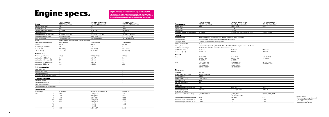## Engine specs.

| <b>Engine</b>                      | 1.0 EcoTSI 95 HP<br>[70 kW] Start/Stop                 | 1.0 EcoTSI 115 HP (85 kW)<br><b>Start/Stop   Automatic</b> | 1.5 EcoTSI 150 HP<br>[110 kW] MQ Start/Stop1 |
|------------------------------------|--------------------------------------------------------|------------------------------------------------------------|----------------------------------------------|
| Cylinder/Valve (total)             | 3/12                                                   | 3/12                                                       | 4/16                                         |
| Displacement (cc)                  | 999                                                    | 999                                                        | 1.498                                        |
| Cylinder bore and stroke (mm)      | 74.5×76.4                                              | 74.5×76.4                                                  | 74.5×85.9                                    |
| Compression ratio                  | 10.5                                                   | 10.5                                                       | 10.5                                         |
| Maximum power (kW (HP)/rpm)        | 70 (95)/5,000-5,500                                    | 85 (115)/5,000-5,500                                       | 110 (150)/5,000-6,000                        |
| Maximum torque (Nm/rpm)            | 175/2.000-3.500                                        | 200/2.000-3.500                                            | 250/1.500-3.500                              |
| Fuel supply system                 | TSI-Direct Injection                                   | <b>TSI-Direct Injection</b>                                | TSI-Direct Injection                         |
| Ignition                           | Positive Ignition (Electronic map-controlled ignition) |                                                            |                                              |
| Atmospheric/Supercharged           | Turbo charged                                          | Turbo charged                                              | Turbo charged                                |
| Fuel type                          | <b>ROZ 95</b>                                          | <b>ROZ 95</b>                                              | <b>ROZ 95</b>                                |
| Oil capacity in initial fill (I)   | 4.3                                                    | 4.3                                                        | 4.8                                          |
| Alternator [A]                     | 110A (8GG)                                             | 110A (8GG)                                                 | 110A (8GG)                                   |
| Battery (Ah/A)                     | 59 Ah (JOS)                                            | 59 Ah (JOS)                                                | 59 Ah (JOS)                                  |
| <b>Performance</b>                 |                                                        |                                                            |                                              |
| Maximum speed (km/h)               | 173(4)                                                 | 182 [5]   182 [6]                                          | 207(5)                                       |
| Acceleration 0-80 km/h (s)         | 7.4                                                    | 6.6   6.7                                                  | 5.8                                          |
| Acceleration 0-100 km/h [s]        | 11.4                                                   | 9.8   9.3                                                  | 8.2                                          |
| Acceleration 80-120 km/h [s]       | 11.4                                                   | $11.9$   11.1                                              | 9.2                                          |
| Acceleration 1000 m (s)            | 33.6                                                   | $31.5$   32                                                | 29.3                                         |
| <b>Fuel consumption</b>            |                                                        |                                                            |                                              |
| Urban (I/100 km)                   | $\overline{\phantom{a}}$                               | $\overline{\phantom{a}}$                                   | $\sim$                                       |
| Extra urban (I/100 km)             | $\overline{\phantom{a}}$                               | $\overline{\phantom{a}}$                                   | $\overline{\phantom{a}}$                     |
| Combined (I/100 km)                | $\overline{\phantom{a}}$                               | $\overline{\phantom{a}}$                                   | $\overline{\phantom{a}}$                     |
| Combined WLTP Range (I/100km)      | $\overline{\phantom{a}}$                               | $\overline{a}$                                             | $\overline{\phantom{a}}$                     |
| CO <sub>2</sub> mass emission      |                                                        |                                                            |                                              |
| CO <sub>2</sub> Urban (q/km)       | $\overline{\phantom{a}}$                               | $\overline{\phantom{a}}$                                   | $\sim$                                       |
| CO <sub>2</sub> Extra Urban (g/km) | $\overline{\phantom{a}}$                               | $\overline{\phantom{0}}$                                   | $\overline{\phantom{a}}$                     |
| CO <sub>2</sub> Combined [g/km]    | $\overline{\phantom{a}}$                               | $\overline{\phantom{0}}$                                   | $\overline{\phantom{a}}$                     |
| Combined WLTP Range (I/100km)      | $\overline{\phantom{a}}$                               | $\overline{\phantom{a}}$                                   | $\overline{\phantom{a}}$                     |
| <b>Transmission</b>                |                                                        |                                                            |                                              |
| Gearbox type                       | MQ200-5F                                               | MQ200-6F GA   DQ200-7F                                     | MQ250-6F                                     |
| Ratios                             | 3.769                                                  | 3.769   3.765                                              | 4.111                                        |
| $\mathbf{I}$                       | 1.955                                                  | 1.955   2.273                                              | 2.118                                        |
| Ш                                  | 1.281                                                  | 1.281   1.531                                              | 1.360                                        |
| IV                                 | 0.881                                                  | $0.973$   1.133                                            | 1.029                                        |
| $\vee$                             | 0.673                                                  | $0.778$   1.176                                            | 0.857                                        |
| VI                                 | $\overline{\phantom{a}}$                               | $-10.956$                                                  | 0.733                                        |
| VII                                | $\overline{\phantom{a}}$                               | $-10.795$                                                  | $\overline{a}$                               |
| R                                  | 3.181                                                  | 3.181   4.167                                              | 3.999                                        |

### **Transmission**<br>Group 1 ratio

Group 2 ratio Group 3 ratio Speed 1000 rpm in IV

Please remember that homologated CO2 emission values<br>and vehicles can't be communicated before you receive<br>the commercial release bulletin, uploaded to CAP by Product<br>Marketing department. You will find the homologated CO2 **in the technical specification sheets, uploaded as well to CAP.**

> ¹ SOP wk 48/2018 <sup>2</sup>ermissible gross weight (min/max): The weight varies according o the defined suspension or the configured version

#### Chassis

Front suspension Rear suspension Steering System Turning diameter (m) Brake system Front/Rear brakes ty

Rear brakes (mm)

| <b>Transmission</b>                           | 1.0 EcoTSI 95 HP<br>[70 kW] Start/Stop                               | 1.0 EcoTSI 115 HP (85 kW)<br><b>Start/Stop   Automatic</b>                         | 1.5 TSI Evo 150 HP<br>[110 kW] Start/Stop <sup>1</sup> |                         |
|-----------------------------------------------|----------------------------------------------------------------------|------------------------------------------------------------------------------------|--------------------------------------------------------|-------------------------|
| Group 1 ratio                                 | 4.357                                                                | 4.056   4.778                                                                      | 3.647                                                  |                         |
| Group 2 ratio                                 |                                                                      | $-13.583$                                                                          |                                                        |                         |
| Group 3 ratio                                 |                                                                      | $-14.526$                                                                          |                                                        |                         |
| Speed 1000 rpm in IV/V/VI/VII (km/h)          | 31.2/40.9                                                            | 30.4/38.0/46.1   22.1/28.4 /34.9/42                                                | 31.9/38.3/44.8                                         |                         |
| <b>Chassis</b>                                |                                                                      |                                                                                    |                                                        |                         |
| Front suspension                              |                                                                      | Independent type McPherson - coil springs - hydraulic shock absorber               |                                                        |                         |
| Rear suspension                               | Semirigid axle, coil springs and hydraulic shock absorber            |                                                                                    |                                                        |                         |
| <b>Steering System</b>                        | C-EPS (Column Electric Power System)                                 |                                                                                    |                                                        |                         |
| Turning diameter (m)                          | 10.6                                                                 |                                                                                    |                                                        |                         |
| Brake system                                  |                                                                      | ESC Standard (including HHC. EBA. TCS. EDS. RKA. XDS). ABS Option for no EU6 Motor |                                                        |                         |
| Front/Rear brakes type                        | Ventilated front brakes/Drum-Disc brakes in rear axle                |                                                                                    |                                                        |                         |
| Front brakes (mm)                             | Ø 276×24                                                             | Ø 276×24                                                                           | Ø 276×24                                               |                         |
| Rear brakes (mm)                              | TB 228×42                                                            | Ø 230×9                                                                            | Ø 230×9                                                |                         |
| Wheels                                        |                                                                      |                                                                                    |                                                        |                         |
| Rims                                          | 6J×16 ET45<br>6.5J×17 ET48<br>7J×18 ET47                             | 6J×16 ET45<br>6.5J×17 ET48<br>7J×18 ET47                                           | 6.5J×17 ET48<br>7J×18 ET47                             |                         |
| Tyres                                         | 205/60 R16 92H<br>205/60 R16 92H<br>205/55 R17 91V<br>215/45 R18 89V | 205/60 R16 92H<br>205/60 R16 92H<br>205/55 R17 91V<br>215/45 R18 89V               | 205/55 R17 91V<br>215/45 R18 89V                       |                         |
| <b>Dimensions</b>                             |                                                                      |                                                                                    |                                                        |                         |
| Body type                                     | SUV <sub>5D</sub>                                                    |                                                                                    |                                                        |                         |
| Length/width/height (mm)                      | 4,138/1,780/1,552                                                    |                                                                                    |                                                        |                         |
| Wheelbase [mm]                                | 2,566                                                                |                                                                                    |                                                        |                         |
| Track front/rear (mm)                         | 1,503 / 1,486                                                        |                                                                                    |                                                        |                         |
| Boot capacity (I)                             | 400                                                                  |                                                                                    |                                                        |                         |
| Fuel tank capacity (l)                        | 40                                                                   |                                                                                    |                                                        |                         |
| Weights                                       |                                                                      |                                                                                    |                                                        |                         |
| In running order with driver (kg)             | 1180                                                                 | 1189   1212                                                                        | 1224                                                   |                         |
| Maximum weight with<br>driver (kg) Front/Rear | 697/483                                                              | 710/479   734/478                                                                  | 746/478                                                |                         |
| Maximum weight allowed (kg)                   | 1,615/1,650/1,700*                                                   | 1.625/1.710*<br>1,655/1,690/1,740*                                                 | 1,665/1,700/1,750*                                     |                         |
| Maximum weight without brake (kg)             | 580                                                                  | 590   600                                                                          | 610                                                    | 1 <sub>SO</sub><br>* Pe |
| Maximum weight w/brake 8% (kg)                | 1,100                                                                | 1,200                                                                              | 1,200                                                  | Th                      |
| Maximum weight w/brake 12% (kg)               | 1,000                                                                | 1,100                                                                              | 1,200                                                  | to<br>for               |

#### Wheels

Tyres

#### Dimensions

Body type Length/width/heigh Wheelbase (mm) Track front/rear (mn Boot capacity (l) 400 Fuel tank capacity (I

### Weights

In running order with Maximum weight wit driver (kg) Front/Rec Maximum weight al

Maximum weight with Maximum weight w/ Maximum weight w/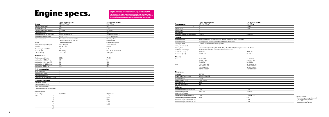# Engine specs.

| Engine                             | 1.0 TGI 90 HP (66 kW)<br><b>MQ Start/Stop<sup>2</sup></b>        | 1.6 TDI 95 HP (70 kW)<br><b>Start/Stop</b> | Transmission                            |
|------------------------------------|------------------------------------------------------------------|--------------------------------------------|-----------------------------------------|
| Cylinder/Valve (total)             | 3/12                                                             | 4/16                                       |                                         |
| Displacement (cc)                  | 999                                                              | 1.598                                      | Group 1 ratio                           |
| Cylinder bore and stroke (mm)      | 74.5×76.4                                                        | 79.5×80.5                                  | Group 2 ratio                           |
| Compression ratio                  | 10.5                                                             | 16.2                                       | Group 3 ratio                           |
| Maximum power (kW (HP)/rpm)        | 66 (90)/4500-5800                                                | 70 (95) / 2750-4600                        | Speed 1000 rpm in IV/                   |
| Maximum torque (Nm/rpm)            | 160/1900-3500                                                    | 250/1,500-3,200                            | <b>Chassis</b>                          |
| Fuel supply system                 | Direct Injection: Common Rail/<br>CNG mode: Multipoint injection | Direct Injection:<br>Common Rail           | Front suspension                        |
| Ignition                           | Compressed ignition                                              | Compressed ignition                        | Rear suspension                         |
| Atmospheric/Supercharged           | Turbo charged                                                    | Turbo charged                              | <b>Steering System</b>                  |
| Fuel type                          | ROZ 95/CNG                                                       | Diesel                                     | Turning diameter (m)                    |
| Oil capacity in initial fill (I)   | 4.3                                                              | 5.0                                        | Brake system                            |
| Alternator [A]                     | 110A (8GG)                                                       | 110A /140A (8GG/8GU)                       | Front/Rear brakes typ                   |
| Battery (Ah/A)                     | 59 Ah (JOS)                                                      | 70Ah (JOV)                                 | Front brakes (mm)                       |
| <b>Performance</b>                 |                                                                  |                                            | Rear brakes (mm)                        |
| Maximum speed (km/h)               | 169 (4)                                                          | 172(5)                                     | <b>Wheels</b>                           |
| Acceleration 0-80 km/h [s]         | 8.6                                                              | 7.9                                        | Rims                                    |
| Acceleration 0-100 km/h [s]        | 13.2                                                             | 15.1                                       |                                         |
| Acceleration 80-120 km/h (s)       | 17.8                                                             | 16.6                                       | Tyres                                   |
| Acceleration 1000 m (s)            | 35.0                                                             | 33.8                                       |                                         |
| <b>Fuel consumption</b>            |                                                                  |                                            |                                         |
| Urban (I/100 km)                   | $\overline{\phantom{a}}$                                         | $\overline{\phantom{a}}$                   | <b>Dimensions</b>                       |
| Extra urban (I/100 km)             | $\overline{\phantom{a}}$                                         | $\overline{a}$                             | Body type                               |
| Combined (I/100 km)                | $\sim$                                                           | $\overline{\phantom{0}}$                   | Length/width/height                     |
| Combined WLTP Range (I/100km)      | $\equiv$                                                         | $\overline{\phantom{0}}$                   | Wheelbase [mm]                          |
| $CO2$ mass emission                |                                                                  |                                            | Track front/rear (mm)                   |
| CO <sub>2</sub> Urban (g/km)       | $\sim$                                                           | $\overline{\phantom{a}}$                   | Boot capacity (l)                       |
| CO <sub>2</sub> Extra Urban (g/km) | $\overline{\phantom{a}}$                                         | $\overline{\phantom{0}}$                   | Fuel tank capacity (I)                  |
| CO <sub>2</sub> Combined (q/km)    | $\overline{\phantom{a}}$                                         | $\overline{\phantom{a}}$                   |                                         |
| Combined WLTP Range (I/100km)      | $\sim$                                                           | $\overline{\phantom{a}}$                   | <b>Weights</b><br>In running order with |
| <b>Transmission</b>                |                                                                  |                                            | Maximum weight with                     |
| Gearbox type                       | MQ200-5F                                                         | MQ250-5F                                   | driver [kg] Front/Rear                  |
| Ratios                             | $\sim$                                                           | 3.778                                      | Maximum weight allo                     |
| $\mathbf{I}$                       | $\equiv$                                                         | 1.944                                      | Maximum weight with                     |
| III                                | $\sim$                                                           | 1.185                                      | Maximum weight w/b                      |
| IV                                 | $\overline{\phantom{a}}$                                         | 0.816                                      | Maximum weight w/b                      |
| $\vee$                             | $\overline{\phantom{a}}$                                         | 0.625                                      |                                         |
| VI                                 | $\overline{\phantom{a}}$                                         | $\overline{a}$                             |                                         |
| VII                                |                                                                  | $\overline{a}$                             |                                         |

² SOP wk 02/2019 ermissible gross weight (min/max): he weight varies according to the defined suspension or the configured version

Please remember that homologated CO2 emission values<br>and vehicles can't be communicated before you receive<br>the commercial release bulletin, uploaded to CAP by Product<br>Marketing department. You will find the homologated CO2 **in the technical specification sheets, uploaded as well to CAP.**

| <b>Transmission</b>                           | 1.0 TGI 90 HP (66 kW)<br><b>MQ Start/Stop<sup>2</sup></b>                          | 1.6 TDI 95 HP (70 kW)<br><b>Start/Stop</b>                           |                         |
|-----------------------------------------------|------------------------------------------------------------------------------------|----------------------------------------------------------------------|-------------------------|
| $\mathsf{R}$                                  | $\overline{a}$                                                                     | 3.600                                                                |                         |
| Group 1 ratio                                 | $\overline{a}$                                                                     | 3.647                                                                |                         |
| Group 2 ratio                                 | $\overline{\phantom{a}}$                                                           |                                                                      |                         |
| Group 3 ratio                                 | $\overline{\phantom{a}}$                                                           |                                                                      |                         |
| Speed 1000 rpm in IV/V/VI/VII (km/h)          | 29.5/37                                                                            | 40.3/52.5                                                            |                         |
| Chassis                                       |                                                                                    |                                                                      |                         |
| Front suspension                              | Independent type McPherson - coil springs - hydraulic shock absorber               |                                                                      |                         |
| Rear suspension                               | Semirigid axle, coil springs and hydraulic shock absorber                          |                                                                      |                         |
| <b>Steering System</b>                        | C-EPS (Column Electric Power System)                                               |                                                                      |                         |
| Turning diameter (m)                          | 10.6                                                                               |                                                                      |                         |
| Brake system                                  | ESC Standard (including HHC, EBA, TCS, EDS, RKA, XDS), ABS Option for no EU6 Motor |                                                                      |                         |
| Front/Rear brakes type                        | Ventilated front brakes/Drum-Disc brakes in rear axle                              |                                                                      |                         |
| Front brakes (mm)                             | Ø 276×24                                                                           | Ø 276×24                                                             |                         |
| Rear brakes [mm]                              | TB 228×42                                                                          | TB 228×42                                                            |                         |
| Wheels                                        |                                                                                    |                                                                      |                         |
| Rims                                          | 6J×16 ET45<br>6.5J×17 ET48<br>7J×18 ET47                                           | 6J×16 ET45<br>6.5J×17 ET48<br>7J×18 ET47                             |                         |
| <b>Tyres</b>                                  | 205/60 R16 92H<br>205/60 R16 92H<br>205/55 R17 91V<br>215/45 R18 89V               | 205/60 R16 92H<br>205/60 R16 92H<br>205/55 R17 91V<br>215/45 R18 89V |                         |
| <b>Dimensions</b>                             |                                                                                    |                                                                      |                         |
| Body type                                     | SUV <sub>5D</sub>                                                                  |                                                                      |                         |
| Length/width/height (mm)                      | 4,138/1,780/1,552                                                                  |                                                                      |                         |
| Wheelbase (mm)                                | 2,566                                                                              |                                                                      |                         |
| Track front/rear (mm)                         | 1,503/1,486                                                                        |                                                                      |                         |
| Boot capacity (I)                             | 400                                                                                |                                                                      |                         |
| Fuel tank capacity (I)                        | 40                                                                                 |                                                                      |                         |
| Weights                                       |                                                                                    |                                                                      |                         |
| In running order with driver (kg)             | 1,301                                                                              | 1,297                                                                |                         |
| Maximum weight with<br>driver (kg) Front/Rear | 698/603                                                                            | 802/495                                                              |                         |
| Maximum weight allowed (kg)                   | 1,700                                                                              | 1,715/1,800*                                                         |                         |
| Maximum weight without brake (kg)             | 650                                                                                | 640                                                                  | <sup>2</sup> SO<br>* Pe |
| Maximum weight w/brake 8% (kg)                |                                                                                    | 1,200                                                                | Th                      |
| Maximum weight w/brake 12% (kg)               |                                                                                    | 1,200                                                                | to:<br>for              |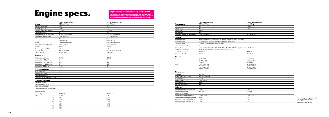# Engine specs.

| <b>Engine</b>                              | 1.6 TDI 95 HP (70kW)<br><b>DQ Start/Stop</b> | 1.6 TDI 115 HP (85 kW)<br><b>Start/Stop</b> | Transmission           |
|--------------------------------------------|----------------------------------------------|---------------------------------------------|------------------------|
| Cylinder/Valve (total)                     | 4/16                                         | 4/16                                        |                        |
| Displacement (cc)                          | 1.598                                        | 1.598                                       | Group 1 ratio          |
| Cylinder bore and stroke (mm)              | 79.5×80.5                                    | 79.5×80.5                                   | Group 2 ratio          |
| Compression ratio                          | 16.2                                         | 16.2                                        | Group 3 ratio          |
| Maximum power (kW (HP)/rpm)                | 70 (95) / 2750-4600                          | 85 (115) / 3250-4000                        | Speed 1000 rpm in IV/  |
| Maximum torque (Nm/rpm)                    | 250/1,500-3,200                              | 250/1,500-3,200                             | <b>Chassis</b>         |
| Fuel supply system                         | Direct Injection:<br>Common Rail             | Direct Injection:<br>Common Rail            | Front suspension       |
| Ignition                                   | Compressed ignition                          | Compressed ignition                         | Rear suspension        |
| Atmospheric/Supercharged                   | Turbo charged                                | Turbo charged                               | <b>Steering System</b> |
| Fuel type                                  | Diesel                                       | Diesel                                      | Turning diameter (m)   |
| Oil capacity in initial fill (I)           | 5.0                                          | 5.0                                         | Brake system           |
| Alternator [A]                             | 110A /140A (8GG/8GU)                         | 110A /140A (8GG/8GU)                        | Front/Rear brakes typ  |
| Battery (Ah/A)                             | 70Ah (JOV)                                   | 70Ah (JOV)                                  | Front brakes (mm)      |
|                                            |                                              |                                             | Rear brakes (mm)       |
| <b>Performance</b><br>Maximum speed (km/h) | 174(6)                                       | 185(5)                                      | <b>Wheels</b>          |
| Acceleration 0-80 km/h [s]                 | 8.4                                          |                                             | Rims                   |
| Acceleration 0-100 km/h (s)                | 12.8                                         | 7.1<br>10.3                                 |                        |
|                                            |                                              | 12.3                                        |                        |
| Acceleration 80-120 km/h [s]               | 12.4<br>34.9                                 | 32.6                                        | Tyres                  |
| Acceleration 1000 m (s)                    |                                              |                                             |                        |
| <b>Fuel consumption</b>                    |                                              |                                             |                        |
| Urban (I/100 km)                           | $\overline{\phantom{a}}$                     | $\overline{\phantom{a}}$                    | <b>Dimensions</b>      |
| Extra urban (I/100 km)                     | $-$                                          | $\sim$                                      | Body type              |
| Combined (I/100 km)                        | $\sim$                                       | $\overline{\phantom{a}}$                    | Length/width/height    |
| Combined WLTP Range (I/100km)              | $\overline{\phantom{a}}$                     | $\overline{\phantom{a}}$                    | Wheelbase [mm]         |
| CO <sub>2</sub> mass emission              |                                              |                                             | Track front/rear (mm)  |
| CO <sub>2</sub> Urban (q/km)               | $\overline{\phantom{a}}$                     | $\overline{\phantom{a}}$                    | Boot capacity (l)      |
| CO <sub>2</sub> Extra Urban (g/km)         | $\overline{\phantom{a}}$                     | $\overline{\phantom{a}}$                    | Fuel tank capacity (l) |
| CO <sub>2</sub> Combined (g/km)            | $\overline{\phantom{a}}$                     | $\overline{\phantom{a}}$                    | <b>Weights</b>         |
| Combined WLTP Range (I/100km)              | $\overline{\phantom{a}}$                     | $\overline{\phantom{a}}$                    | In running order with  |
| <b>Transmission</b>                        |                                              |                                             | Maximum weight with    |
| Gearbox type                               | DQ200-7F                                     | MQ250-6F                                    | driver (kg) Front/Rear |
| Ratios                                     | 3.500                                        | 4.111                                       | Maximum weight allo    |
| $\mathbf{I}$                               | 2.087                                        | 2.118                                       | Maximum weight with    |
| Ш                                          | 1.343                                        | 1.360                                       | Maximum weight w/b     |
| IV                                         | 0.933                                        | 0.971                                       | Maximum weight w/b     |
| $\vee$                                     | 0.974                                        | 0.773                                       |                        |
| VI                                         | 0.778                                        | 0.625                                       |                        |
| VII                                        | 0.653                                        | $\sim$                                      |                        |

Please remember that homologated CO2 emission values<br>and vehicles can't be communicated before you receive<br>the commercial release bulletin, uploaded to CAP by Product<br>Marketing department. You will find the homologated CO2 **in the technical specification sheets, uploaded as well to CAP.**

| <b>Transmission</b>                           | 1.6 TDI 95 HP (70kW)<br><b>DQ Start/Stop</b>                                       | 1.6 TDI 115 HP (85 kW)<br><b>Start/Stop</b>                          |                                  |  |  |  |  |  |
|-----------------------------------------------|------------------------------------------------------------------------------------|----------------------------------------------------------------------|----------------------------------|--|--|--|--|--|
| $\mathsf{R}$                                  | 3.721                                                                              | 3.999                                                                |                                  |  |  |  |  |  |
| Group 1 ratio                                 | 4.800                                                                              | 3.389                                                                |                                  |  |  |  |  |  |
| Group 2 ratio                                 | 3.429                                                                              |                                                                      |                                  |  |  |  |  |  |
| Group 3 ratio                                 | 4.500                                                                              |                                                                      |                                  |  |  |  |  |  |
| Speed 1000 rpm in IV/V/VI/VII (km/h)          | 26.8/35.9/44.9/53.5                                                                | 36.4/45.7/56.5                                                       |                                  |  |  |  |  |  |
| Chassis                                       |                                                                                    |                                                                      |                                  |  |  |  |  |  |
| Front suspension                              | Independent type McPherson - coil springs - hydraulic shock absorber               |                                                                      |                                  |  |  |  |  |  |
| Rear suspension                               | Semirigid axle, coil springs and hydraulic shock absorber                          |                                                                      |                                  |  |  |  |  |  |
| <b>Steering System</b>                        | C-EPS (Column Electric Power System)                                               |                                                                      |                                  |  |  |  |  |  |
| Turning diameter (m)                          | 10.6                                                                               |                                                                      |                                  |  |  |  |  |  |
| Brake system                                  | ESC Standard (including HHC, EBA, TCS, EDS, RKA, XDS), ABS Option for no EU6 Motor |                                                                      |                                  |  |  |  |  |  |
| Front/Rear brakes type                        | Ventilated front brakes/Drum-Disc brakes in rear axle                              |                                                                      |                                  |  |  |  |  |  |
| Front brakes (mm)                             | Ø 276×24                                                                           | Ø 276×24                                                             |                                  |  |  |  |  |  |
| Rear brakes (mm)                              | TB228×42                                                                           | TB 230×9                                                             |                                  |  |  |  |  |  |
| Wheels                                        |                                                                                    |                                                                      |                                  |  |  |  |  |  |
| Rims                                          | 6J×16 ET45<br>6.5J×17 ET48<br>7J×18 ET47                                           | 6J×16 ET45<br>6.5J×17 ET48<br>7J×18 ET47                             |                                  |  |  |  |  |  |
| Tyres                                         | 205/60 R16 92H<br>205/60 R16 92H<br>205/55 R17 91V<br>215/45 R18 89V               | 205/60 R16 92H<br>205/60 R16 92H<br>205/55 R17 91V<br>215/45 R18 89V |                                  |  |  |  |  |  |
| <b>Dimensions</b>                             |                                                                                    |                                                                      |                                  |  |  |  |  |  |
| Body type                                     | SUV <sub>5D</sub>                                                                  |                                                                      |                                  |  |  |  |  |  |
| Length/width/height (mm)                      | 4,138/1,780/1,552                                                                  |                                                                      |                                  |  |  |  |  |  |
| Wheelbase (mm)                                | 2,566                                                                              |                                                                      |                                  |  |  |  |  |  |
| Track front/rear (mm)                         | 1,503 /1,486                                                                       |                                                                      |                                  |  |  |  |  |  |
| Boot capacity (I)                             | 400                                                                                |                                                                      |                                  |  |  |  |  |  |
| Fuel tank capacity (I)                        | 40                                                                                 |                                                                      |                                  |  |  |  |  |  |
| Weights                                       |                                                                                    |                                                                      |                                  |  |  |  |  |  |
| In running order with driver (kg)             | 1,320                                                                              | 1,303                                                                |                                  |  |  |  |  |  |
| Maximum weight with<br>driver (kg) Front/Rear | 826/494                                                                            | 807/496                                                              |                                  |  |  |  |  |  |
| Maximum weight allowed (kg)                   | 1,745/1,830*                                                                       | 1,725/1,810*                                                         |                                  |  |  |  |  |  |
| Maximum weight without brake (kg)             | 660                                                                                | 650                                                                  | * Permissible gr                 |  |  |  |  |  |
| Maximum weight w/brake 8% (kg)                | 1,200                                                                              | 1,200                                                                | The weight vo                    |  |  |  |  |  |
| Maximum weight w/brake 12% (kg)               | 1,100                                                                              | 1,100                                                                | to the defined<br>for the config |  |  |  |  |  |
|                                               |                                                                                    |                                                                      |                                  |  |  |  |  |  |

gross weight (min/max): varies according d suspension gured version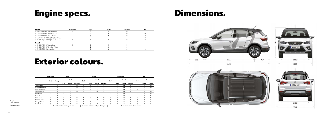# Engine specs. Dimensions.



| Petrol                                          | Reference | <b>Style</b> | Beats | <b>Xcellence</b> |  |
|-------------------------------------------------|-----------|--------------|-------|------------------|--|
| 1.0 EcoTSI 95 HP (70 kW) Start/Stop             |           |              |       |                  |  |
| 1.0 EcoTSI 115 HP (85 kW) Start/Stop            |           |              |       |                  |  |
| 1.0 EcoTSI 115 HP (85 kW) Automatic             |           |              |       |                  |  |
| 1.5 EcoTSI 150 HP (110 kW) MQ Start/Stop        |           |              |       |                  |  |
| 1.0 TGI 90HP (66 kW) MQ Start/Stop <sup>1</sup> |           |              |       |                  |  |
| <b>Diesel</b>                                   |           |              |       |                  |  |
| 1.6 TDI 95 HP (70 kW) Start/Stop                |           |              |       |                  |  |
| 1.6 TDI 95 HP (70 kW) DQ Start/Stop             |           |              |       |                  |  |
| 1.6 TDI 115 HP (85 kW) Start/Stop               |           |              |       |                  |  |
|                                                 |           |              |       |                  |  |

**O**Optional − Not available

1 SOP wk 51/2018.

### Exterior colours.

|                   | Reference |                     | <b>Style</b>                         |              |                                         | <b>Beats</b>             |                          |                          |                                      | <b>Xcellence</b> |         |              |                          | <b>FR</b>                |                          |                          |
|-------------------|-----------|---------------------|--------------------------------------|--------------|-----------------------------------------|--------------------------|--------------------------|--------------------------|--------------------------------------|------------------|---------|--------------|--------------------------|--------------------------|--------------------------|--------------------------|
|                   |           | <b>Body</b><br>Body |                                      | Roof         |                                         | <b>Body</b>              | Roof                     |                          |                                      | <b>Body</b>      | Roof    |              |                          | Body                     | Roof                     |                          |
|                   |           |                     | Grey                                 | <b>Black</b> | Orange                                  |                          | Grey                     | Black                    | Orange                               |                  | Grey    | <b>Black</b> | Orange                   |                          | Grey                     | <b>Black</b>             |
| Candy White       | $\circ$   | $\circ$             | $\circ$                              | O            | $\circ$                                 | $\overline{\phantom{0}}$ |                          |                          |                                      | O                | $\circ$ | $\circ$      | $\circ$                  | $\circ$                  | $\circ$                  | $\circ$                  |
| Mediterraneo Blue | O         | O                   | $\circ$                              | O            | $\circ$                                 | $\overline{\phantom{0}}$ | $\overline{\phantom{0}}$ | $\overline{\phantom{0}}$ | $\overline{\phantom{0}}$             | O                | O       | $\circ$      | $\circ$                  | O                        | $\circ$                  | $\circ$                  |
| Mystic Magenta    | $\circ$   | $\circ$             | $\circ$                              | O            | $\overline{\phantom{0}}$                | $\overline{\phantom{0}}$ | $\qquad \qquad$          | $\overline{\phantom{0}}$ | $\overline{\phantom{0}}$             | $\circ$          | $\circ$ | $\circ$      | $\overline{\phantom{0}}$ | $\overline{\phantom{0}}$ | $\overline{\phantom{m}}$ | $\overline{\phantom{0}}$ |
| Eclipse Orange    | $\circ$   | $\circ$             | O                                    | O            | $\circ$                                 | $\circ$                  | O                        | O                        | $\overline{\phantom{0}}$             | O                | $\circ$ | O            | $\circ$                  | $\circ$                  | $\circ$                  | $\circ$                  |
| Mystery Blue      | $\circ$   | O                   | O                                    | O            |                                         |                          |                          |                          |                                      | $\circ$          | $\circ$ | $\circ$      | $\overline{\phantom{0}}$ | $\circ$                  | $\circ$                  | $\circ$                  |
| Desire Red        | $\circ$   | $\circ$             | $\circ$                              | O            | $\overline{\phantom{0}}$                | $\overline{\phantom{0}}$ | $\overline{\phantom{0}}$ |                          | $\qquad \qquad$                      | O                | $\circ$ | $\circ$      | $\overline{\phantom{0}}$ | $\circ$                  | $\circ$                  | $\circ$                  |
| Urban Silver      | $\circ$   | $\circ$             | $\circ$                              | O            | $\circ$                                 | $\circ$                  | $\circ$                  | $\circ$                  | $\circ$                              | O                | $\circ$ | $\circ$      | $\circ$                  | $\circ$                  | $\circ$                  | $\circ$                  |
| Magnetic Tech     | $\circ$   | $\circ$             | $\circ$                              | O            | $\circ$                                 | $\circ$                  | $\overline{\phantom{0}}$ | O                        | $\circ$                              | O                | $\circ$ | $\circ$      | $\circ$                  | $\circ$                  | $\circ$                  | $\circ$                  |
| Midnight Black    | $\circ$   | O                   | O                                    | O            | $\circ$                                 | $\circ$                  | $\circ$                  | $\overline{\phantom{0}}$ | $\circ$                              | $\circ$          | $\circ$ | $\circ$      | $\circ$                  | $\circ$                  | $\circ$                  | $\circ$                  |
| Nevada White      | O         | O                   | $\circ$                              | O            | $\circ$                                 | $\circ$                  | $\circ$                  | O                        | $\circ$                              | O                | $\circ$ | $\circ$      | $\circ$                  | O                        | $\circ$                  | $\circ$                  |
|                   |           |                     | <b>Rearview mirrors: Body colour</b> |              | <b>Rearview mirrors: Eclipse Orange</b> |                          |                          |                          | <b>Rearview mirrors: Roof colour</b> |                  |         |              |                          |                          |                          |                          |